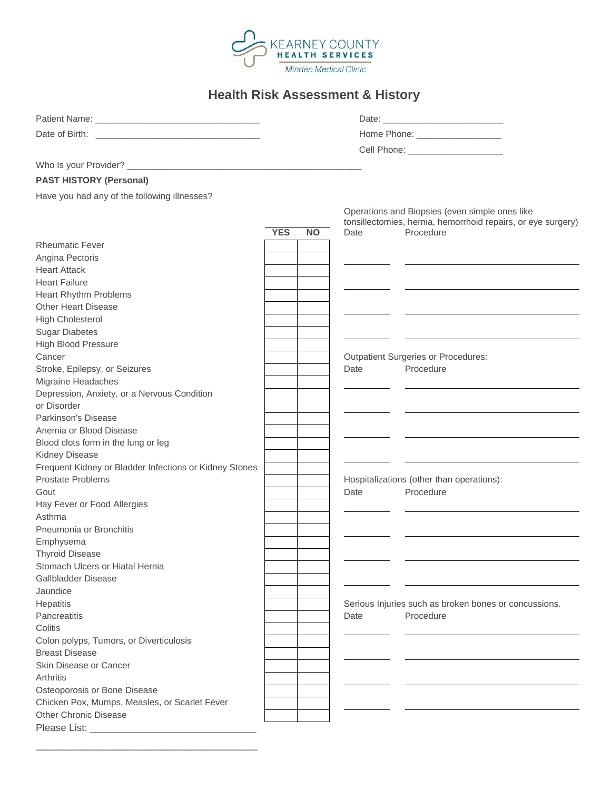

# **Health Risk Assessment & History**

|                                                        |            | Home Phone: ____________________ |      |                                                              |  |  |
|--------------------------------------------------------|------------|----------------------------------|------|--------------------------------------------------------------|--|--|
|                                                        |            |                                  |      |                                                              |  |  |
|                                                        |            |                                  |      |                                                              |  |  |
| <b>PAST HISTORY (Personal)</b>                         |            |                                  |      |                                                              |  |  |
| Have you had any of the following illnesses?           |            |                                  |      |                                                              |  |  |
|                                                        |            |                                  |      | Operations and Biopsies (even simple ones like               |  |  |
|                                                        |            |                                  |      | tonsillectomies, hernia, hemorrhoid repairs, or eye surgery) |  |  |
|                                                        | <b>YES</b> | <b>NO</b>                        | Date | Procedure                                                    |  |  |
| <b>Rheumatic Fever</b>                                 |            |                                  |      |                                                              |  |  |
| Angina Pectoris                                        |            |                                  |      |                                                              |  |  |
| <b>Heart Attack</b>                                    |            |                                  |      |                                                              |  |  |
| <b>Heart Failure</b>                                   |            |                                  |      |                                                              |  |  |
| <b>Heart Rhythm Problems</b>                           |            |                                  |      |                                                              |  |  |
| <b>Other Heart Disease</b>                             |            |                                  |      |                                                              |  |  |
| <b>High Cholesterol</b>                                |            |                                  |      |                                                              |  |  |
| <b>Sugar Diabetes</b>                                  |            |                                  |      |                                                              |  |  |
| <b>High Blood Pressure</b>                             |            |                                  |      |                                                              |  |  |
| Cancer                                                 |            |                                  |      | Outpatient Surgeries or Procedures:                          |  |  |
| Stroke, Epilepsy, or Seizures                          |            |                                  | Date | Procedure                                                    |  |  |
| Migraine Headaches                                     |            |                                  |      |                                                              |  |  |
| Depression, Anxiety, or a Nervous Condition            |            |                                  |      |                                                              |  |  |
| or Disorder                                            |            |                                  |      |                                                              |  |  |
| Parkinson's Disease                                    |            |                                  |      |                                                              |  |  |
| Anemia or Blood Disease                                |            |                                  |      |                                                              |  |  |
| Blood clots form in the lung or leg                    |            |                                  |      |                                                              |  |  |
| Kidney Disease                                         |            |                                  |      |                                                              |  |  |
| Frequent Kidney or Bladder Infections or Kidney Stones |            |                                  |      |                                                              |  |  |
| <b>Prostate Problems</b>                               |            |                                  |      | Hospitalizations (other than operations):                    |  |  |
| Gout                                                   |            |                                  | Date | Procedure                                                    |  |  |
| Hay Fever or Food Allergies                            |            |                                  |      |                                                              |  |  |
| Asthma                                                 |            |                                  |      |                                                              |  |  |
| Pneumonia or Bronchitis                                |            |                                  |      |                                                              |  |  |
| Emphysema                                              |            |                                  |      |                                                              |  |  |
| <b>Thyroid Disease</b>                                 |            |                                  |      |                                                              |  |  |
| Stomach Ulcers or Hiatal Hernia                        |            |                                  |      |                                                              |  |  |
| Gallbladder Disease                                    |            |                                  |      |                                                              |  |  |
| Jaundice                                               |            |                                  |      |                                                              |  |  |
| Hepatitis                                              |            |                                  |      | Serious Injuries such as broken bones or concussions.        |  |  |
| Pancreatitis                                           |            |                                  | Date | Procedure                                                    |  |  |
| Colitis                                                |            |                                  |      |                                                              |  |  |
| Colon polyps, Tumors, or Diverticulosis                |            |                                  |      |                                                              |  |  |
| <b>Breast Disease</b>                                  |            |                                  |      |                                                              |  |  |
| Skin Disease or Cancer                                 |            |                                  |      |                                                              |  |  |
| Arthritis                                              |            |                                  |      |                                                              |  |  |
| Osteoporosis or Bone Disease                           |            |                                  |      |                                                              |  |  |
| Chicken Pox, Mumps, Measles, or Scarlet Fever          |            |                                  |      |                                                              |  |  |
| <b>Other Chronic Disease</b>                           |            |                                  |      |                                                              |  |  |
| Please List: _____                                     |            |                                  |      |                                                              |  |  |

\_\_\_\_\_\_\_\_\_\_\_\_\_\_\_\_\_\_\_\_\_\_\_\_\_\_\_\_\_\_\_\_\_\_\_\_\_\_\_\_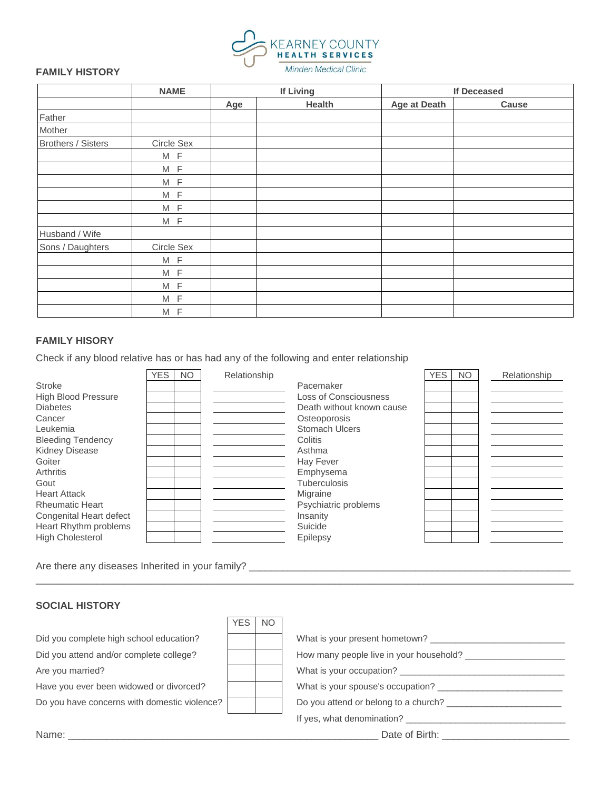

# **FAMILY HISTORY**

|                           | <b>NAME</b> | If Living |               |              | <b>If Deceased</b> |  |  |  |
|---------------------------|-------------|-----------|---------------|--------------|--------------------|--|--|--|
|                           |             | Age       | <b>Health</b> | Age at Death | Cause              |  |  |  |
| Father                    |             |           |               |              |                    |  |  |  |
| Mother                    |             |           |               |              |                    |  |  |  |
| <b>Brothers / Sisters</b> | Circle Sex  |           |               |              |                    |  |  |  |
|                           | M F         |           |               |              |                    |  |  |  |
|                           | $M$ F       |           |               |              |                    |  |  |  |
|                           | $M$ F       |           |               |              |                    |  |  |  |
|                           | $M$ F       |           |               |              |                    |  |  |  |
|                           | M F         |           |               |              |                    |  |  |  |
|                           | M F         |           |               |              |                    |  |  |  |
| Husband / Wife            |             |           |               |              |                    |  |  |  |
| Sons / Daughters          | Circle Sex  |           |               |              |                    |  |  |  |
|                           | $M$ F       |           |               |              |                    |  |  |  |
|                           | M F         |           |               |              |                    |  |  |  |
|                           | M F         |           |               |              |                    |  |  |  |
|                           | $M$ F       |           |               |              |                    |  |  |  |
|                           | M F         |           |               |              |                    |  |  |  |

### **FAMILY HISORY**

Check if any blood relative has or has had any of the following and enter relationship

|                            | <b>YES</b> | <b>NO</b> | Relationship |                              | <b>YES</b> | <b>NO</b> | Relationship |
|----------------------------|------------|-----------|--------------|------------------------------|------------|-----------|--------------|
| <b>Stroke</b>              |            |           |              | Pacemaker                    |            |           |              |
| <b>High Blood Pressure</b> |            |           |              | <b>Loss of Consciousness</b> |            |           |              |
| <b>Diabetes</b>            |            |           |              | Death without known cause    |            |           |              |
| Cancer                     |            |           |              | Osteoporosis                 |            |           |              |
| Leukemia                   |            |           |              | <b>Stomach Ulcers</b>        |            |           |              |
| <b>Bleeding Tendency</b>   |            |           |              | Colitis                      |            |           |              |
| Kidney Disease             |            |           |              | Asthma                       |            |           |              |
| Goiter                     |            |           |              | <b>Hay Fever</b>             |            |           |              |
| <b>Arthritis</b>           |            |           |              | Emphysema                    |            |           |              |
| Gout                       |            |           |              | <b>Tuberculosis</b>          |            |           |              |
| <b>Heart Attack</b>        |            |           |              | Migraine                     |            |           |              |
| <b>Rheumatic Heart</b>     |            |           |              | Psychiatric problems         |            |           |              |
| Congenital Heart defect    |            |           |              | Insanity                     |            |           |              |
| Heart Rhythm problems      |            |           |              | Suicide                      |            |           |              |
| <b>High Cholesterol</b>    |            |           |              | Epilepsy                     |            |           |              |

 $\overline{\phantom{a}}$  ,  $\overline{\phantom{a}}$  ,  $\overline{\phantom{a}}$  ,  $\overline{\phantom{a}}$  ,  $\overline{\phantom{a}}$  ,  $\overline{\phantom{a}}$  ,  $\overline{\phantom{a}}$  ,  $\overline{\phantom{a}}$  ,  $\overline{\phantom{a}}$  ,  $\overline{\phantom{a}}$  ,  $\overline{\phantom{a}}$  ,  $\overline{\phantom{a}}$  ,  $\overline{\phantom{a}}$  ,  $\overline{\phantom{a}}$  ,  $\overline{\phantom{a}}$  ,  $\overline{\phantom{a}}$ 

Are there any diseases Inherited in your family? \_\_\_\_\_\_\_\_\_\_\_\_\_\_\_\_\_\_\_\_\_\_\_\_\_\_\_\_\_\_\_\_

# **SOCIAL HISTORY**

Did you complete high school education?

Did you attend and/or complete college?

Are you married?

Have you ever been widowed or divorced?

Do you have concerns with domestic violence?

| <b>YES</b> | ΝO |                                                         |
|------------|----|---------------------------------------------------------|
|            |    |                                                         |
|            |    |                                                         |
|            |    | What is your occupation?                                |
|            |    | What is your spouse's occupation? _____________________ |
|            |    | Do you attend or belong to a church? _______________    |
|            |    | If yes, what denomination?                              |
|            |    | Date of Birth:                                          |

Name: \_\_\_\_\_\_\_\_\_\_\_\_\_\_\_\_\_\_\_\_\_\_\_\_\_\_\_\_\_\_\_\_\_\_\_\_\_\_\_\_\_\_\_\_\_\_\_\_\_\_\_\_\_\_\_\_ Date of Birth: \_\_\_\_\_\_\_\_\_\_\_\_\_\_\_\_\_\_\_\_\_\_\_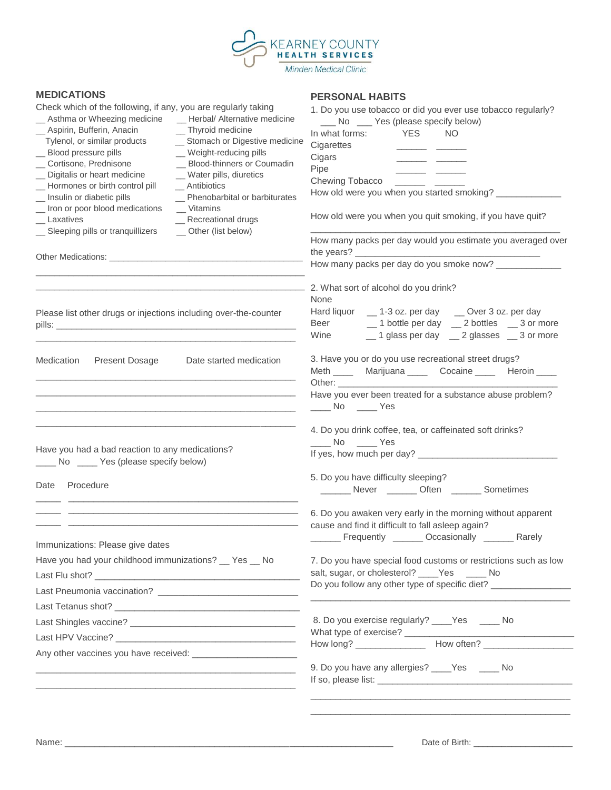

#### **MEDICATIONS**

#### Check which of the following, if any, you are regularly taking **\_\_ Asthma or Wheezing medicine**  \_\_ Herbal/ Alternative medicine \_\_ Aspirin, Bufferin, Anacin \_\_ Thyroid medicine Tylenol, or similar products \_\_ Stomach or Digestive medicine Lacktriangle Dividing pills and Dividing Dividing pills and Dividing pills and Dividing pills \_\_ Cortisone, Prednisone \_\_ Blood-thinners or Coumadin Digitalis or heart medicine \_\_\_\_\_\_ Water pills, diuretics Hormones or birth control pill \_\_\_\_\_ Antibiotics \_\_ Insulin or diabetic pills \_\_ Phenobarbital or barbiturates \_\_ Iron or poor blood medications \_\_ Vitamins \_\_ Laxatives \_\_ Recreational drugs \_\_ Sleeping pills or tranquillizers \_\_ Other (list below) Other Medications: \_\_\_\_\_\_\_\_\_\_\_\_\_\_\_\_\_\_\_\_\_\_\_\_\_\_\_\_\_\_\_\_\_\_\_\_\_\_\_\_\_  $\_$  ,  $\_$  ,  $\_$  ,  $\_$  ,  $\_$  ,  $\_$  ,  $\_$  ,  $\_$  ,  $\_$  ,  $\_$  ,  $\_$  ,  $\_$  ,  $\_$  ,  $\_$  ,  $\_$  ,  $\_$  ,  $\_$  ,  $\_$  ,  $\_$  $\_$  ,  $\_$  ,  $\_$  ,  $\_$  ,  $\_$  ,  $\_$  ,  $\_$  ,  $\_$  ,  $\_$  ,  $\_$  ,  $\_$  ,  $\_$  ,  $\_$  ,  $\_$  ,  $\_$  ,  $\_$  ,  $\_$  ,  $\_$  ,  $\_$ Please list other drugs or injections including over-the-counter  $p$ ills:  $\Box$ \_\_\_\_\_\_\_\_\_\_\_\_\_\_\_\_\_\_\_\_\_\_\_\_\_\_\_\_\_\_\_\_\_\_\_\_\_\_\_\_\_\_\_\_\_\_\_\_\_\_\_\_ Medication Present Dosage Date started medication \_\_\_\_\_\_\_\_\_\_\_\_\_\_\_\_\_\_\_\_\_\_\_\_\_\_\_\_\_\_\_\_\_\_\_\_\_\_\_\_\_\_\_\_\_\_\_\_\_\_\_\_ \_\_\_\_\_\_\_\_\_\_\_\_\_\_\_\_\_\_\_\_\_\_\_\_\_\_\_\_\_\_\_\_\_\_\_\_\_\_\_\_\_\_\_\_\_\_\_\_\_\_\_\_ \_\_\_\_\_\_\_\_\_\_\_\_\_\_\_\_\_\_\_\_\_\_\_\_\_\_\_\_\_\_\_\_\_\_\_\_\_\_\_\_\_\_\_\_\_\_\_\_\_\_\_\_ \_\_\_\_\_\_\_\_\_\_\_\_\_\_\_\_\_\_\_\_\_\_\_\_\_\_\_\_\_\_\_\_\_\_\_\_\_\_\_\_\_\_\_\_\_\_\_\_\_\_\_\_ Have you had a bad reaction to any medications? \_\_\_\_ No \_\_\_\_ Yes (please specify below) Date Procedure \_\_\_\_\_ \_\_\_\_\_\_\_\_\_\_\_\_\_\_\_\_\_\_\_\_\_\_\_\_\_\_\_\_\_\_\_\_\_\_\_\_\_\_\_\_\_\_\_\_\_\_ \_\_\_\_\_ \_\_\_\_\_\_\_\_\_\_\_\_\_\_\_\_\_\_\_\_\_\_\_\_\_\_\_\_\_\_\_\_\_\_\_\_\_\_\_\_\_\_\_\_\_\_ \_\_\_\_\_ \_\_\_\_\_\_\_\_\_\_\_\_\_\_\_\_\_\_\_\_\_\_\_\_\_\_\_\_\_\_\_\_\_\_\_\_\_\_\_\_\_\_\_\_\_\_ Immunizations: Please give dates Have you had your childhood immunizations? \_\_ Yes \_\_ No Last Flu shot? \_\_\_\_\_\_\_\_\_\_\_\_\_\_\_\_\_\_\_\_\_\_\_\_\_\_\_\_\_\_\_\_\_\_\_\_\_\_\_\_\_ Last Pneumonia vaccination? \_\_\_\_\_\_\_\_\_\_\_\_\_\_\_\_\_\_\_\_\_\_\_\_\_\_\_\_ Last Tetanus shot? \_\_\_\_\_\_\_\_\_\_\_\_\_\_\_\_\_\_\_\_\_\_\_\_\_\_\_\_\_\_\_\_\_\_\_\_\_ Last Shingles vaccine? \_\_\_\_\_\_\_\_\_\_\_\_\_\_\_\_\_\_\_\_\_\_\_\_\_\_\_\_\_\_\_\_\_ Last HPV Vaccine? Any other vaccines you have received: \_\_\_\_\_\_\_\_\_\_\_\_\_\_\_\_\_\_\_\_\_\_\_\_\_\_\_\_\_\_\_\_\_\_\_\_\_\_\_\_\_\_\_\_\_\_\_\_\_\_\_\_ \_\_\_\_\_\_\_\_\_\_\_\_\_\_\_\_\_\_\_\_\_\_\_\_\_\_\_\_\_\_\_\_\_\_\_\_\_\_\_\_\_\_\_\_\_\_\_\_\_\_\_\_ **PERSONAL HABITS** 1. Do you use tobacco or did you ever use tobacco regularly? \_\_\_ No \_\_\_ Yes (please specify below) In what forms: YES NO Cigarettes Cigars Pipe Chewing Tobacco How old were you when you started smoking? \_\_\_\_\_\_\_\_\_\_\_\_ How old were you when you quit smoking, if you have quit? \_\_\_\_\_\_\_\_\_\_\_\_\_\_\_\_\_\_\_\_\_\_\_\_\_\_\_\_\_\_\_\_\_\_\_\_\_\_\_\_\_\_\_\_\_\_\_\_\_\_ How many packs per day would you estimate you averaged over the years? How many packs per day do you smoke now? \_\_\_\_\_\_\_\_ 2. What sort of alcohol do you drink? None Hard liquor \_\_ 1-3 oz. per day \_\_ Over 3 oz. per day Beer 1 bottle per day 2 bottles 3 or more Wine \_\_ 1 glass per day \_\_ 2 glasses \_\_ 3 or more 3. Have you or do you use recreational street drugs? Meth Marijuana Cocaine Heroin Other: Have you ever been treated for a substance abuse problem? \_\_\_\_ No \_\_\_\_ Yes 4. Do you drink coffee, tea, or caffeinated soft drinks? \_\_\_\_ No \_\_\_\_ Yes If yes, how much per day? \_\_\_\_\_\_\_\_\_\_\_\_\_\_\_\_\_\_\_\_\_\_\_\_\_\_\_\_ 5. Do you have difficulty sleeping? \_\_\_\_\_\_ Never \_\_\_\_\_\_ Often \_\_\_\_\_\_ Sometimes 6. Do you awaken very early in the morning without apparent cause and find it difficult to fall asleep again? \_\_\_\_\_\_ Frequently \_\_\_\_\_\_ Occasionally \_\_\_\_\_\_ Rarely 7. Do you have special food customs or restrictions such as low salt, sugar, or cholesterol? \_\_\_\_Yes \_\_\_\_ No Do you follow any other type of specific diet? \_\_\_\_\_\_\_\_\_\_\_\_\_\_\_\_\_\_\_\_\_\_\_\_\_\_\_\_\_\_\_\_\_ \_\_\_\_\_\_\_\_\_\_\_\_\_\_\_\_\_\_\_\_\_\_\_\_\_\_\_\_\_\_\_\_\_\_\_\_\_\_\_\_\_\_\_\_\_\_\_\_\_\_\_\_ 8. Do you exercise regularly? \_\_\_\_Yes \_\_\_\_ No What type of exercise? \_\_\_\_\_\_\_\_\_\_\_\_\_\_\_\_\_\_\_\_\_\_\_\_\_\_\_\_\_\_\_\_\_\_ How long? \_\_\_\_\_\_\_\_\_\_\_\_\_\_ How often? \_\_\_\_\_\_\_\_\_\_\_\_\_\_\_\_\_\_ 9. Do you have any allergies? \_\_\_\_Yes \_\_\_\_\_ No If so, please list: \_\_\_\_\_\_\_\_\_\_\_\_\_\_\_\_\_\_\_\_\_\_\_\_\_\_\_\_\_\_\_\_\_\_\_\_\_\_\_

\_\_\_\_\_\_\_\_\_\_\_\_\_\_\_\_\_\_\_\_\_\_\_\_\_\_\_\_\_\_\_\_\_\_\_\_\_\_\_\_\_\_\_\_\_\_\_\_\_\_\_\_ \_\_\_\_\_\_\_\_\_\_\_\_\_\_\_\_\_\_\_\_\_\_\_\_\_\_\_\_\_\_\_\_\_\_\_\_\_\_\_\_\_\_\_\_\_\_\_\_\_\_\_\_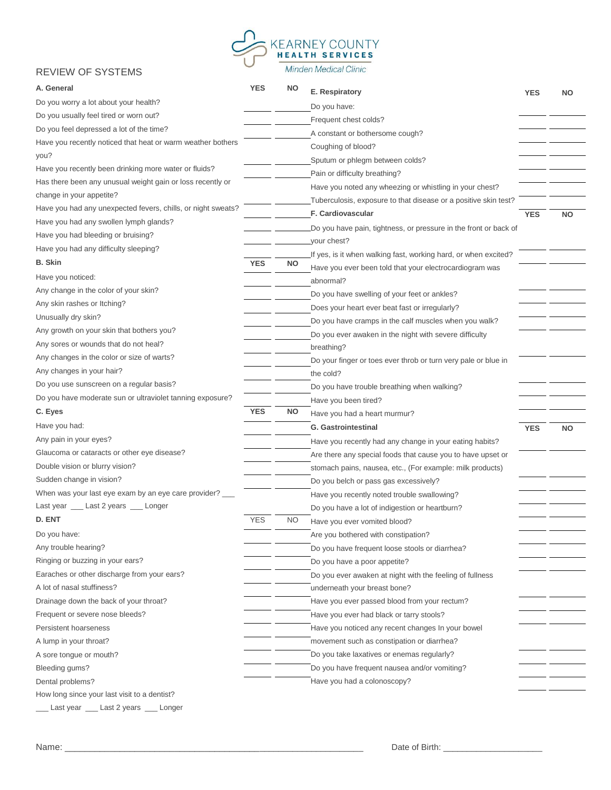

# REVIEW OF SYSTEMS

# Minden Medical Clinic

| A. General                                                   | <b>YES</b> | <b>NO</b> | E. Respiratory                                                                                                             | <b>YES</b> | <b>NO</b> |
|--------------------------------------------------------------|------------|-----------|----------------------------------------------------------------------------------------------------------------------------|------------|-----------|
| Do you worry a lot about your health?                        |            |           | Do you have:                                                                                                               |            |           |
| Do you usually feel tired or worn out?                       |            |           | Frequent chest colds?                                                                                                      |            |           |
| Do you feel depressed a lot of the time?                     |            |           | A constant or bothersome cough?                                                                                            |            |           |
| Have you recently noticed that heat or warm weather bothers  |            |           | Coughing of blood?                                                                                                         |            |           |
| you?                                                         |            |           | Sputum or phlegm between colds?                                                                                            |            |           |
| Have you recently been drinking more water or fluids?        |            |           | Pain or difficulty breathing?                                                                                              |            |           |
| Has there been any unusual weight gain or loss recently or   |            |           | Have you noted any wheezing or whistling in your chest?                                                                    |            |           |
| change in your appetite?                                     |            |           | Tuberculosis, exposure to that disease or a positive skin test?                                                            |            |           |
| Have you had any unexpected fevers, chills, or night sweats? |            |           | F. Cardiovascular                                                                                                          | <b>YES</b> | <b>NO</b> |
| Have you had any swollen lymph glands?                       |            |           |                                                                                                                            |            |           |
| Have you had bleeding or bruising?                           |            |           | Do you have pain, tightness, or pressure in the front or back of<br>your chest?                                            |            |           |
| Have you had any difficulty sleeping?                        |            |           |                                                                                                                            |            |           |
| <b>B.</b> Skin                                               | <b>YES</b> | <b>NO</b> | If yes, is it when walking fast, working hard, or when excited?<br>Have you ever been told that your electrocardiogram was |            |           |
| Have you noticed:                                            |            |           | abnormal?                                                                                                                  |            |           |
| Any change in the color of your skin?                        |            |           |                                                                                                                            |            |           |
| Any skin rashes or Itching?                                  |            |           | Do you have swelling of your feet or ankles?                                                                               |            |           |
| Unusually dry skin?                                          |            |           | Does your heart ever beat fast or irregularly?                                                                             |            |           |
| Any growth on your skin that bothers you?                    |            |           | Do you have cramps in the calf muscles when you walk?                                                                      |            |           |
| Any sores or wounds that do not heal?                        |            |           | Do you ever awaken in the night with severe difficulty                                                                     |            |           |
| Any changes in the color or size of warts?                   |            |           | breathing?                                                                                                                 |            |           |
| Any changes in your hair?                                    |            |           | Do your finger or toes ever throb or turn very pale or blue in                                                             |            |           |
| Do you use sunscreen on a regular basis?                     |            |           | the cold?                                                                                                                  |            |           |
| Do you have moderate sun or ultraviolet tanning exposure?    |            |           | Do you have trouble breathing when walking?                                                                                |            |           |
| C. Eyes                                                      | <b>YES</b> | <b>NO</b> | Have you been tired?                                                                                                       |            |           |
| Have you had:                                                |            |           | Have you had a heart murmur?                                                                                               |            |           |
| Any pain in your eyes?                                       |            |           | <b>G. Gastrointestinal</b>                                                                                                 | <b>YES</b> | <b>NO</b> |
| Glaucoma or cataracts or other eye disease?                  |            |           | Have you recently had any change in your eating habits?                                                                    |            |           |
| Double vision or blurry vision?                              |            |           | Are there any special foods that cause you to have upset or                                                                |            |           |
| Sudden change in vision?                                     |            |           | stomach pains, nausea, etc., (For example: milk products)                                                                  |            |           |
| When was your last eye exam by an eye care provider? __      |            |           | Do you belch or pass gas excessively?                                                                                      |            |           |
| Last year __ Last 2 years __ Longer                          |            |           | Have you recently noted trouble swallowing?                                                                                |            |           |
| D. ENT                                                       | <b>YES</b> | <b>NO</b> | Do you have a lot of indigestion or heartburn?                                                                             |            |           |
|                                                              |            |           | Have you ever vomited blood?                                                                                               |            |           |
| Do you have:                                                 |            |           | Are you bothered with constipation?                                                                                        |            |           |
| Any trouble hearing?<br>Ringing or buzzing in your ears?     |            |           | Do you have frequent loose stools or diarrhea?                                                                             |            |           |
|                                                              |            |           | Do you have a poor appetite?                                                                                               |            |           |
| Earaches or other discharge from your ears?                  |            |           | Do you ever awaken at night with the feeling of fullness                                                                   |            |           |
| A lot of nasal stuffiness?                                   |            |           | underneath your breast bone?                                                                                               |            |           |
| Drainage down the back of your throat?                       |            |           | Have you ever passed blood from your rectum?                                                                               |            |           |
| Frequent or severe nose bleeds?                              |            |           | Have you ever had black or tarry stools?                                                                                   |            |           |
| Persistent hoarseness                                        |            |           | Have you noticed any recent changes In your bowel                                                                          |            |           |
| A lump in your throat?                                       |            |           | movement such as constipation or diarrhea?                                                                                 |            |           |
| A sore tongue or mouth?                                      |            |           | Do you take laxatives or enemas regularly?                                                                                 |            |           |
| Bleeding gums?                                               |            |           | Do you have frequent nausea and/or vomiting?                                                                               |            |           |
| Dental problems?                                             |            |           | Have you had a colonoscopy?                                                                                                |            |           |
| How long since your last visit to a dentist?                 |            |           |                                                                                                                            |            |           |

\_\_\_ Last year \_\_\_ Last 2 years \_\_\_ Longer